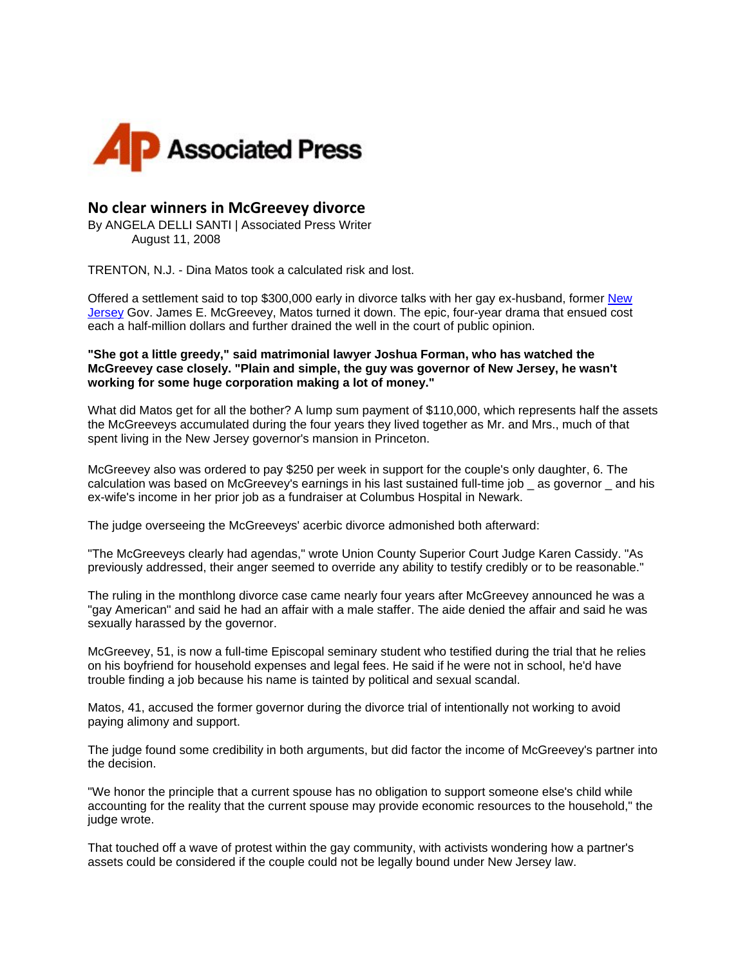

## **No clear winners in McGreevey divorce**

By ANGELA DELLI SANTI | Associated Press Writer August 11, 2008

TRENTON, N.J. - Dina Matos took a calculated risk and lost.

Offered a settlement said to top \$300,000 early in divorce talks with her gay ex-husband, former [New](http://www.newsday.com/topic/us/new-jersey-PLGEO100100700000000.topic)  [Jersey](http://www.newsday.com/topic/us/new-jersey-PLGEO100100700000000.topic) Gov. James E. McGreevey, Matos turned it down. The epic, four-year drama that ensued cost each a half-million dollars and further drained the well in the court of public opinion.

**"She got a little greedy," said matrimonial lawyer Joshua Forman, who has watched the McGreevey case closely. "Plain and simple, the guy was governor of New Jersey, he wasn't working for some huge corporation making a lot of money."**

What did Matos get for all the bother? A lump sum payment of \$110,000, which represents half the assets the McGreeveys accumulated during the four years they lived together as Mr. and Mrs., much of that spent living in the New Jersey governor's mansion in Princeton.

McGreevey also was ordered to pay \$250 per week in support for the couple's only daughter, 6. The calculation was based on McGreevey's earnings in his last sustained full-time job \_ as governor \_ and his ex-wife's income in her prior job as a fundraiser at Columbus Hospital in Newark.

The judge overseeing the McGreeveys' acerbic divorce admonished both afterward:

"The McGreeveys clearly had agendas," wrote Union County Superior Court Judge Karen Cassidy. "As previously addressed, their anger seemed to override any ability to testify credibly or to be reasonable."

The ruling in the monthlong divorce case came nearly four years after McGreevey announced he was a "gay American" and said he had an affair with a male staffer. The aide denied the affair and said he was sexually harassed by the governor.

McGreevey, 51, is now a full-time Episcopal seminary student who testified during the trial that he relies on his boyfriend for household expenses and legal fees. He said if he were not in school, he'd have trouble finding a job because his name is tainted by political and sexual scandal.

Matos, 41, accused the former governor during the divorce trial of intentionally not working to avoid paying alimony and support.

The judge found some credibility in both arguments, but did factor the income of McGreevey's partner into the decision.

"We honor the principle that a current spouse has no obligation to support someone else's child while accounting for the reality that the current spouse may provide economic resources to the household," the judge wrote.

That touched off a wave of protest within the gay community, with activists wondering how a partner's assets could be considered if the couple could not be legally bound under New Jersey law.